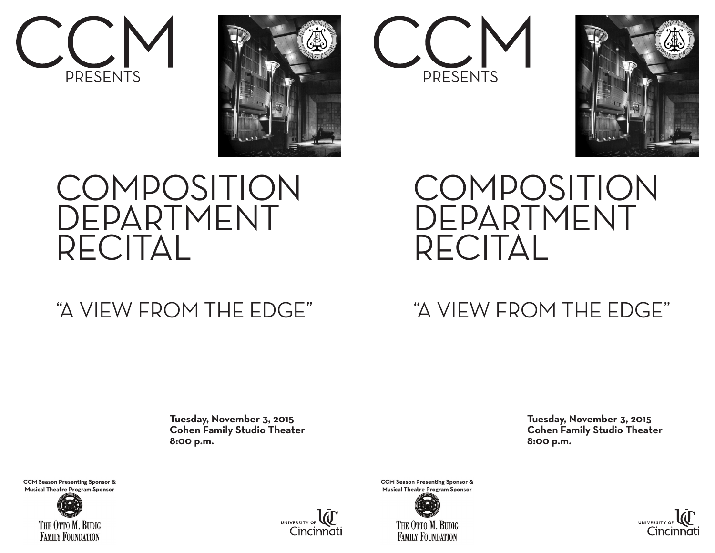







## **COMPOSITION** DEPARTMENT RECITAL

### "A VIEW FROM THE EDGE"

## **COMPOSITION** DEPARTMENT RECITAL

#### "A VIEW FROM THE EDGE"

 **Tuesday, November 3, 2015 Cohen Family Studio Theater 8:00 p.m.**  **Tuesday, November 3, 2015 Cohen Family Studio Theater 8:00 p.m.**

**CCM Season Presenting Sponsor &** Musical Theatre Program Sponsor





**CCM Season Presenting Sponsor &** Musical Theatre Program Sponsor